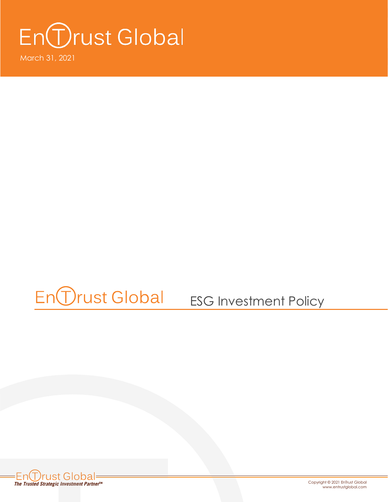# En *O*rust Global

March 31, 2021

### En *Drust* Global ESG Investment Policy



Copyright © 2021 EnTrust Global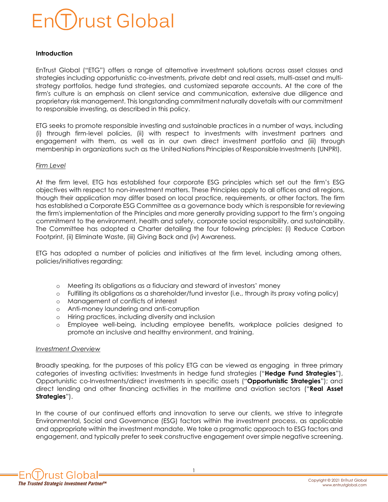### **Trust Global**

#### **Introduction**

EnTrust Global ("ETG") offers a range of alternative investment solutions across asset classes and strategies including opportunistic co-investments, private debt and real assets, multi-asset and multistrategy portfolios, hedge fund strategies, and customized separate accounts. At the core of the firm's culture is an emphasis on client service and communication, extensive due diligence and proprietary risk management. This longstanding commitment naturally dovetails with our commitment to responsible investing, as described in this policy.

ETG seeks to promote responsible investing and sustainable practices in a number of ways, including (i) through firm-level policies, (ii) with respect to investments with investment partners and engagement with them, as well as in our own direct investment portfolio and (iii) through membership in organizations such as the United Nations Principles of Responsible Investments (UNPRI).

#### *Firm Level*

At the firm level, ETG has established four corporate ESG principles which set out the firm's ESG objectives with respect to non-investment matters. These Principles apply to all offices and all regions, though their application may differ based on local practice, requirements, or other factors. The firm has established a Corporate ESG Committee as a governance body which is responsible for reviewing the firm's implementation of the Principles and more generally providing support to the firm's ongoing commitment to the environment, health and safety, corporate social responsibility, and sustainability. The Committee has adopted a Charter detailing the four following principles: (i) Reduce Carbon Footprint, (ii) Eliminate Waste, (iii) Giving Back and (iv) Awareness.

ETG has adopted a number of policies and initiatives at the firm level, including among others, policies/initiatives regarding:

- o Meeting its obligations as a fiduciary and steward of investors' money
- o Fulfilling its obligations as a shareholder/fund investor (i.e., through its proxy voting policy)
- o Management of conflicts of interest
- o Anti-money laundering and anti-corruption
- o Hiring practices, including diversity and inclusion
- o Employee well-being, including employee benefits, workplace policies designed to promote an inclusive and healthy environment, and training.

#### *Investment Overview*

Broadly speaking, for the purposes of this policy ETG can be viewed as engaging in three primary categories of investing activities: Investments in hedge fund strategies ("**Hedge Fund Strategies**"), Opportunistic co-Investments/direct investments in specific assets ("**Opportunistic Strategies**"); and direct lending and other financing activities in the maritime and aviation sectors ("**Real Asset Strategies**").

In the course of our continued efforts and innovation to serve our clients, we strive to integrate Environmental, Social and Governance (ESG) factors within the investment process, as applicable and appropriate within the investment mandate. We take a pragmatic approach to ESG factors and engagement, and typically prefer to seek constructive engagement over simple negative screening.

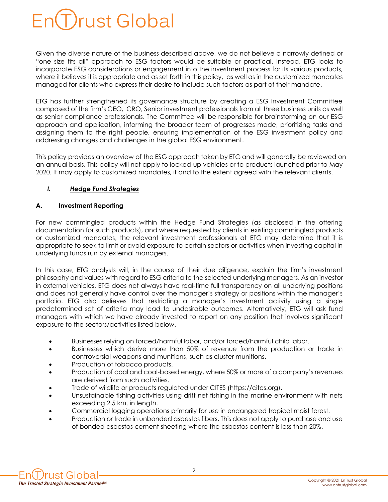

Given the diverse nature of the business described above, we do not believe a narrowly defined or "one size fits all" approach to ESG factors would be suitable or practical. Instead, ETG looks to incorporate ESG considerations or engagement into the investment process for its various products, where it believes it is appropriate and as set forth in this policy, as well as in the customized mandates managed for clients who express their desire to include such factors as part of their mandate.

ETG has further strengthened its governance structure by creating a ESG Investment Committee composed of the firm's CEO, CRO, Senior investment professionals from all three business units as well as senior compliance professionals. The Committee will be responsible for brainstorming on our ESG approach and application, informing the broader team of progresses made, prioritizing tasks and assigning them to the right people, ensuring implementation of the ESG investment policy and addressing changes and challenges in the global ESG environment.

This policy provides an overview of the ESG approach taken by ETG and will generally be reviewed on an annual basis. This policy will not apply to locked-up vehicles or to products launched prior to May 2020. It may apply to customized mandates, if and to the extent agreed with the relevant clients.

#### *I. Hedge Fund Strategies*

#### **A. Investment Reporting**

For new commingled products within the Hedge Fund Strategies (as disclosed in the offering documentation for such products), and where requested by clients in existing commingled products or customized mandates, the relevant investment professionals at ETG may determine that it is appropriate to seek to limit or avoid exposure to certain sectors or activities when investing capital in underlying funds run by external managers.

In this case, ETG analysts will, in the course of their due diligence, explain the firm's investment philosophy and values with regard to ESG criteria to the selected underlying managers. As an investor in external vehicles, ETG does not always have real-time full transparency on all underlying positions and does not generally have control over the manager's strategy or positions within the manager's portfolio. ETG also believes that restricting a manager's investment activity using a single predetermined set of criteria may lead to undesirable outcomes. Alternatively, ETG will ask fund managers with which we have already invested to report on any position that involves significant exposure to the sectors/activities listed below.

- Businesses relying on forced/harmful labor, and/or forced/harmful child labor.
- Businesses which derive more than 50% of revenue from the production or trade in controversial weapons and munitions, such as cluster munitions.
- Production of tobacco products.
- Production of coal and coal-based energy, where 50% or more of a company's revenues are derived from such activities.
- Trade of wildlife or products regulated under CITES (https://cites.org).
- Unsustainable fishing activities using drift net fishing in the marine environment with nets exceeding 2.5 km. in length.
- Commercial logging operations primarily for use in endangered tropical moist forest.
- Production or trade in unbonded asbestos fibers. This does not apply to purchase and use of bonded asbestos cement sheeting where the asbestos content is less than 20%.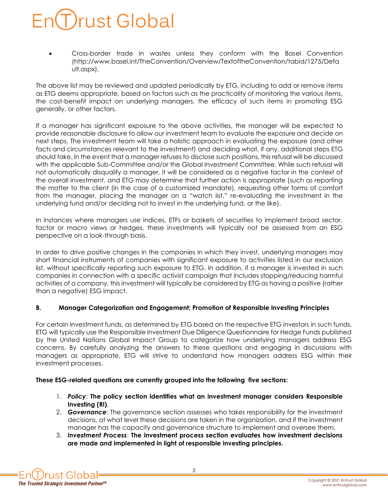## rust Global

• Cross-border trade in wastes unless they conform with the Basel Convention (http://www.basel.int/TheConvention/Overview/TextoftheConvention/tabid/1275/Defa ult.aspx).

The above list may be reviewed and updated periodically by ETG, including to add or remove items as ETG deems appropriate, based on factors such as the practicality of monitoring the various items, the cost-benefit impact on underlying managers, the efficacy of such items in promoting ESG generally, or other factors.

If a manager has significant exposure to the above activities, the manager will be expected to provide reasonable disclosure to allow our investment team to evaluate the exposure and decide on next steps. The investment team will take a holistic approach in evaluating the exposure (and other facts and circumstances relevant to the investment) and deciding what, if any, additional steps ETG should take. In the event that a manager refuses to disclose such positions, this refusal will be discussed with the applicable Sub-Committee and/or the Global Investment Committee. While such refusal will not automatically disqualify a manager, it will be considered as a negative factor in the context of the overall investment, and ETG may determine that further action is appropriate (such as reporting the matter to the client (in the case of a customized mandate), requesting other forms of comfort from the manager, placing the manager on a "watch list," re-evaluating the investment in the underlying fund and/or deciding not to invest in the underlying fund, or the like).

In instances where managers use indices, ETFs or baskets of securities to implement broad sector, factor or macro views or hedges, these investments will typically not be assessed from an ESG perspective on a look-through basis.

In order to drive positive changes in the companies in which they invest, underlying managers may short financial instruments of companies with significant exposure to activities listed in our exclusion list, without specifically reporting such exposure to ETG. In addition, if a manager is invested in such companies in connection with a specific activist campaign that includes stopping/reducing harmful activities of a company, this investment will typically be considered by ETG as having a positive (rather than a negative) ESG impact.

#### **B. Manager Categorization and Engagement; Promotion of Responsible Investing Principles**

For certain investment funds, as determined by ETG based on the respective ETG investors in such funds, ETG will typically use the Responsible Investment Due Diligence Questionnaire for Hedge Funds published by the United Nations Global Impact Group to categorize how underlying managers address ESG concerns. By carefully analyzing the answers to these questions and engaging in discussions with managers as appropriate, ETG will strive to understand how managers address ESG within their investment processes.

#### **These ESG-related questions are currently grouped into the following five sections:**

- 1. *Policy*: **The policy section identifies what an investment manager considers Responsible Investing (RI)**.
- 2. *Governance*: The governance section assesses who takes responsibility for the investment decisions, at what level these decisions are taken in the organization, and if the investment manager has the capacity and governance structure to implement and oversee them.
- 3. *Investment Process*: **The investment process section evaluates how investment decisions are made and implemented in light of responsible investing principles.**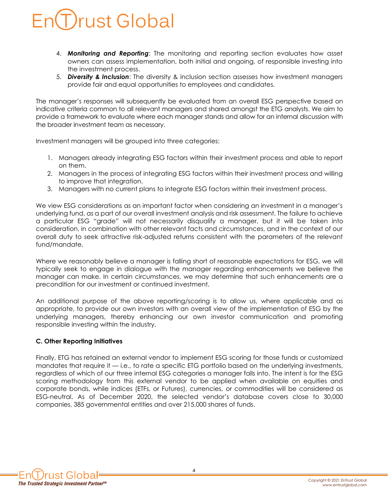### Drust Global

- 4. *Monitoring and Reporting*: The monitoring and reporting section evaluates how asset owners can assess implementation, both initial and ongoing, of responsible investing into the investment process.
- 5. *Diversity & Inclusion*: The diversity & inclusion section assesses how investment managers provide fair and equal opportunities to employees and candidates.

The manager's responses will subsequently be evaluated from an overall ESG perspective based on indicative criteria common to all relevant managers and shared amongst the ETG analysts. We aim to provide a framework to evaluate where each manager stands and allow for an internal discussion with the broader investment team as necessary.

Investment managers will be grouped into three categories:

- 1. Managers already integrating ESG factors within their investment process and able to report on them.
- 2. Managers in the process of integrating ESG factors within their investment process and willing to improve that integration.
- 3. Managers with no current plans to integrate ESG factors within their investment process.

We view ESG considerations as an important factor when considering an investment in a manager's underlying fund, as a part of our overall investment analysis and risk assessment. The failure to achieve a particular ESG "grade" will not necessarily disqualify a manager, but it will be taken into consideration, in combination with other relevant facts and circumstances, and in the context of our overall duty to seek attractive risk-adjusted returns consistent with the parameters of the relevant fund/mandate.

Where we reasonably believe a manager is falling short of reasonable expectations for ESG, we will typically seek to engage in dialogue with the manager regarding enhancements we believe the manager can make. In certain circumstances, we may determine that such enhancements are a precondition for our investment or continued investment.

An additional purpose of the above reporting/scoring is to allow us, where applicable and as appropriate, to provide our own investors with an overall view of the implementation of ESG by the underlying managers, thereby enhancing our own investor communication and promoting responsible investing within the industry.

#### **C. Other Reporting Initiatives**

Finally, ETG has retained an external vendor to implement ESG scoring for those funds or customized mandates that require it — i.e., to rate a specific ETG portfolio based on the underlying investments, regardless of which of our three internal ESG categories a manager falls into. The intent is for the ESG scoring methodology from this external vendor to be applied when available on equities and corporate bonds, while indices (ETFs, or Futures), currencies, or commodities will be considered as ESG-neutral. As of December 2020, the selected vendor's database covers close to 30,000 companies, 385 governmental entities and over 215,000 shares of funds.

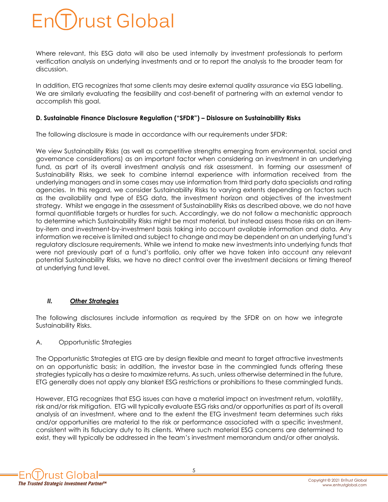### Trust Global

Where relevant, this ESG data will also be used internally by investment professionals to perform verification analysis on underlying investments and or to report the analysis to the broader team for discussion.

In addition, ETG recognizes that some clients may desire external quality assurance via ESG labelling. We are similarly evaluating the feasibility and cost-benefit of partnering with an external vendor to accomplish this goal.

#### **D. Sustainable Finance Disclosure Regulation ("SFDR") – Dislosure on Sustainability Risks**

The following disclosure is made in accordance with our requirements under SFDR:

We view Sustainability Risks (as well as competitive strengths emerging from environmental, social and governance considerations) as an important factor when considering an investment in an underlying fund, as part of its overall investment analysis and risk assessment. In forming our assessment of Sustainability Risks, we seek to combine internal experience with information received from the underlying managers and in some cases may use information from third party data specialists and rating agencies. In this regard, we consider Sustainability Risks to varying extents depending on factors such as the availability and type of ESG data, the investment horizon and objectives of the investment strategy. Whilst we engage in the assessment of Sustainability Risks as described above, we do not have formal quantifiable targets or hurdles for such. Accordingly, we do not follow a mechanistic approach to determine which Sustainability Risks might be most material, but instead assess those risks on an itemby-item and investment-by-investment basis taking into account available information and data. Any information we receive is limited and subject to change and may be dependent on an underlying fund's regulatory disclosure requirements. While we intend to make new investments into underlying funds that were not previously part of a fund's portfolio, only after we have taken into account any relevant potential Sustainability Risks, we have no direct control over the investment decisions or timing thereof at underlying fund level.

#### *II. Other Strategies*

The following disclosures include information as required by the SFDR on on how we integrate Sustainability Risks.

#### A. Opportunistic Strategies

The Opportunistic Strategies at ETG are by design flexible and meant to target attractive investments on an opportunistic basis; in addition, the investor base in the commingled funds offering these strategies typically has a desire to maximize returns. As such, unless otherwise determined in the future, ETG generally does not apply any blanket ESG restrictions or prohibitions to these commingled funds.

However, ETG recognizes that ESG issues can have a material impact on investment return, volatility, risk and/or risk mitigation. ETG will typically evaluate ESG risks and/or opportunities as part of its overall analysis of an investment, where and to the extent the ETG investment team determines such risks and/or opportunities are material to the risk or performance associated with a specific investment, consistent with its fiduciary duty to its clients. Where such material ESG concerns are determined to exist, they will typically be addressed in the team's investment memorandum and/or other analysis.

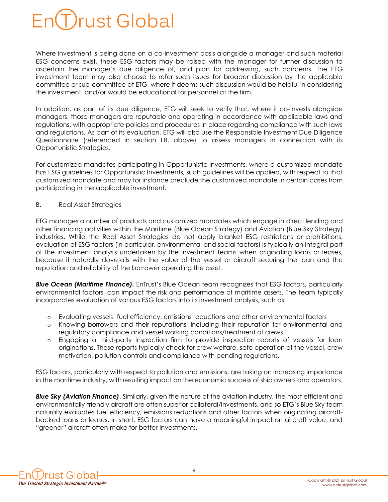### Trust Global

Where investment is being done on a co-investment basis alongside a manager and such material ESG concerns exist, these ESG factors may be raised with the manager for further discussion to ascertain the manager's due diligence of, and plan for addressing, such concerns. The ETG investment team may also choose to refer such issues for broader discussion by the applicable committee or sub-committee at ETG, where it deems such discussion would be helpful in considering the investment, and/or would be educational for personnel at the firm.

In addition, as part of its due diligence, ETG will seek to verify that, where it co-invests alongside managers, those managers are reputable and operating in accordance with applicable laws and regulations, with appropriate policies and procedures in place regarding compliance with such laws and regulations. As part of its evaluation, ETG will also use the Responsible Investment Due Diligence Questionnaire (referenced in section I.B. above) to assess managers in connection with its Opportunistic Strategies.

For customized mandates participating in Opportunistic Investments, where a customized mandate has ESG guidelines for Opportunistic Investments, such guidelines will be applied, with respect to that customized mandate and may for instance preclude the customized mandate in certain cases from participating in the applicable investment.

B. Real Asset Strategies

ETG manages a number of products and customized mandates which engage in direct lending and other financing activities within the Maritime (Blue Ocean Strategy) and Aviation (Blue Sky Strategy) industries. While the Real Asset Strategies do not apply blanket ESG restrictions or prohibitions, evaluation of ESG factors (in particular, environmental and social factors) is typically an integral part of the investment analysis undertaken by the investment teams when originating loans or leases, because it naturally dovetails with the value of the vessel or aircraft securing the loan and the reputation and reliability of the borrower operating the asset.

**Blue Ocean (Maritime Finance).** EnTrust's Blue Ocean team recognizes that ESG factors, particularly environmental factors, can impact the risk and performance of maritime assets. The team typically incorporates evaluation of various ESG factors into its investment analysis, such as:

- o Evaluating vessels' fuel efficiency, emissions reductions and other environmental factors
- o Knowing borrowers and their reputations, including their reputation for environmental and regulatory compliance and vessel working conditions/treatment of crews
- o Engaging a third-party inspection firm to provide inspection reports of vessels for loan originations. These reports typically check for crew welfare, safe operation of the vessel, crew motivation, pollution controls and compliance with pending regulations.

ESG factors, particularly with respect to pollution and emissions, are taking on increasing importance in the maritime industry, with resulting impact on the economic success of ship owners and operators.

*Blue Sky (Aviation Finance)***.** Similarly, given the nature of the aviation industry, the most efficient and environmentally-friendly aircraft are often superior collateral/investments, and so ETG's Blue Sky team naturally evaluates fuel efficiency, emissions reductions and other factors when originating aircraftbacked loans or leases. In short, ESG factors can have a meaningful impact on aircraft value, and "greener" aircraft often make for better Investments.